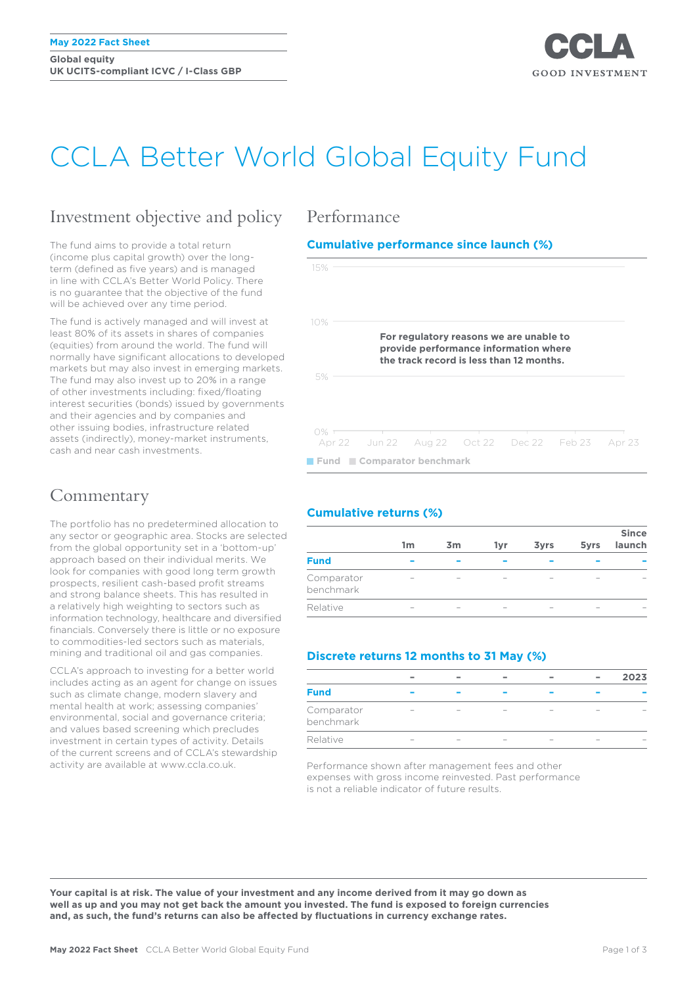**Global equity UK UCITS-compliant ICVC / I-Class GBP**



# CCLA Better World Global Equity Fund

# Investment objective and policy

The fund aims to provide a total return (income plus capital growth) over the longterm (defined as five years) and is managed in line with CCLA's Better World Policy. There is no guarantee that the objective of the fund will be achieved over any time period.

The fund is actively managed and will invest at least 80% of its assets in shares of companies (equities) from around the world. The fund will normally have significant allocations to developed markets but may also invest in emerging markets. The fund may also invest up to 20% in a range of other investments including: fixed/floating interest securities (bonds) issued by governments and their agencies and by companies and other issuing bodies, infrastructure related assets (indirectly), money-market instruments, cash and near cash investments.

# **Commentary**

The portfolio has no predetermined allocation to any sector or geographic area. Stocks are selected from the global opportunity set in a 'bottom-up' approach based on their individual merits. We look for companies with good long term growth prospects, resilient cash-based profit streams and strong balance sheets. This has resulted in a relatively high weighting to sectors such as information technology, healthcare and diversified financials. Conversely there is little or no exposure to commodities-led sectors such as materials, mining and traditional oil and gas companies.

CCLA's approach to investing for a better world includes acting as an agent for change on issues such as climate change, modern slavery and mental health at work; assessing companies' environmental, social and governance criteria; and values based screening which precludes investment in certain types of activity. Details of the current screens and of CCLA's stewardship activity are available at www.ccla.co.uk.

## Performance

### **Cumulative performance since launch (%)**



### **Cumulative returns (%)**

|                         | 1m | 3 <sub>m</sub> | 1yr | <b>3yrs</b> | 5yrs | <b>Since</b><br>launch |
|-------------------------|----|----------------|-----|-------------|------|------------------------|
| <b>Fund</b>             |    |                |     |             |      |                        |
| Comparator<br>benchmark |    |                |     |             |      |                        |
| Relative                |    |                |     |             |      |                        |

### **Discrete returns 12 months to 31 May (%)**

|                         |  |  | $\overline{\phantom{a}}$ | $\equiv$ | 2023 |
|-------------------------|--|--|--------------------------|----------|------|
| <b>Fund</b>             |  |  |                          |          |      |
| Comparator<br>benchmark |  |  |                          |          |      |
| Relative                |  |  |                          |          |      |

Performance shown after management fees and other expenses with gross income reinvested. Past performance is not a reliable indicator of future results.

**Your capital is at risk. The value of your investment and any income derived from it may go down as well as up and you may not get back the amount you invested. The fund is exposed to foreign currencies and, as such, the fund's returns can also be affected by fluctuations in currency exchange rates.**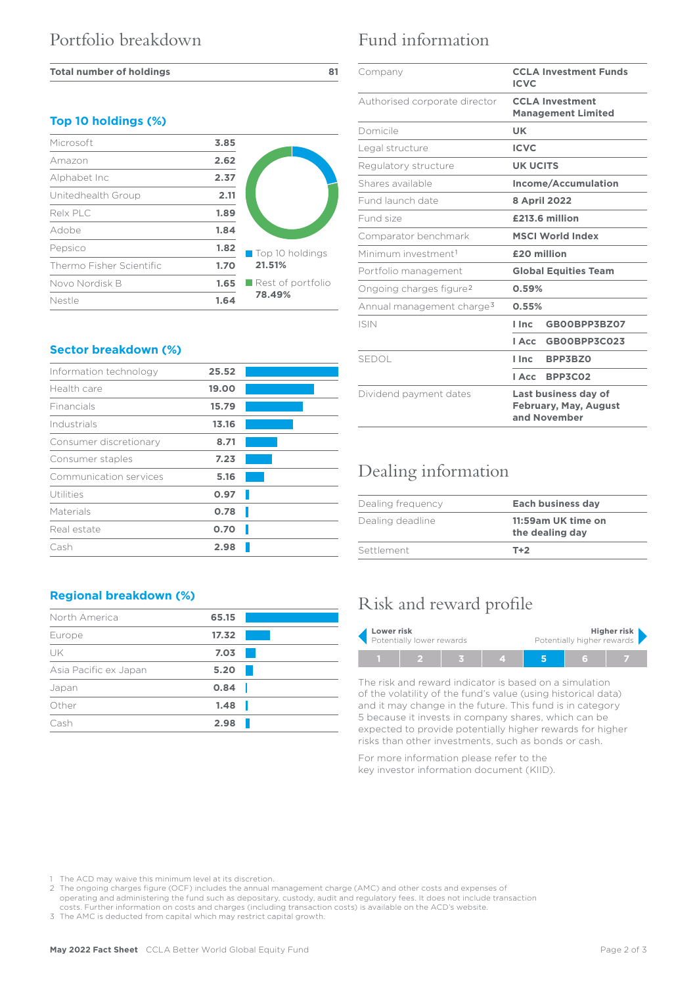#### **Total number of holdings 81**

### **Top 10 holdings (%)**

| Microsoft                | 3.85 |                   |  |  |
|--------------------------|------|-------------------|--|--|
| Amazon                   | 2.62 |                   |  |  |
| Alphabet Inc             | 2.37 |                   |  |  |
| Unitedhealth Group       | 2.11 |                   |  |  |
| Relx PLC                 | 1.89 |                   |  |  |
| Adobe                    | 1.84 |                   |  |  |
| Pepsico                  | 1.82 | Top 10 holdings   |  |  |
| Thermo Fisher Scientific | 1.70 | 21.51%            |  |  |
| Novo Nordisk B           | 1.65 | Rest of portfolio |  |  |
| Nestle                   | 1.64 | 78.49%            |  |  |

### **Sector breakdown (%)**

| Information technology | 25.52 |  |
|------------------------|-------|--|
| Health care            | 19.00 |  |
| Financials             | 15.79 |  |
| Industrials            | 13.16 |  |
| Consumer discretionary | 8.71  |  |
| Consumer staples       | 7.23  |  |
| Communication services | 5.16  |  |
| Utilities              | 0.97  |  |
| Materials              | 0.78  |  |
| Real estate            | 0.70  |  |
| Cash                   | 2.98  |  |

### **Regional breakdown (%)**

| North America         | 65.15 |  |
|-----------------------|-------|--|
| Europe                | 17.32 |  |
| UK                    | 7.03  |  |
| Asia Pacific ex Japan | 5.20  |  |
| Japan                 | 0.84  |  |
| Other                 | 1.48  |  |
| Cash                  | 2.98  |  |
|                       |       |  |

# Fund information

| Company                               | <b>CCLA Investment Funds</b><br><b>ICVC</b>                          |  |  |
|---------------------------------------|----------------------------------------------------------------------|--|--|
| Authorised corporate director         | <b>CCLA Investment</b><br><b>Management Limited</b>                  |  |  |
| Domicile                              | <b>UK</b>                                                            |  |  |
| Legal structure                       | <b>ICVC</b>                                                          |  |  |
| Regulatory structure                  | <b>UK UCITS</b>                                                      |  |  |
| Shares available                      | Income/Accumulation                                                  |  |  |
| Fund launch date                      | <b>8 April 2022</b>                                                  |  |  |
| Fund size                             | £213.6 million                                                       |  |  |
| Comparator benchmark                  | <b>MSCI World Index</b>                                              |  |  |
| Minimum investment <sup>1</sup>       | £20 million                                                          |  |  |
| Portfolio management                  | <b>Global Equities Team</b>                                          |  |  |
| Ongoing charges figure <sup>2</sup>   | 0.59%                                                                |  |  |
| Annual management charge <sup>3</sup> | 0.55%                                                                |  |  |
| <b>ISIN</b>                           | GB00BPP3BZ07<br>I Inc.                                               |  |  |
|                                       | GB00BPP3C023<br>l Acc                                                |  |  |
| <b>SEDOL</b>                          | BPP3BZ0<br>l Inc                                                     |  |  |
|                                       | <b>BPP3C02</b><br>I Acc                                              |  |  |
| Dividend payment dates                | Last business day of<br><b>February, May, August</b><br>and November |  |  |

# Dealing information

| Dealing frequency | <b>Each business day</b>              |  |  |
|-------------------|---------------------------------------|--|--|
| Dealing deadline  | 11:59am UK time on<br>the dealing day |  |  |
| Settlement        | $T+2$                                 |  |  |

# Risk and reward profile

| Lower risk                |  |  | Higher risk                |  |  |  |  |
|---------------------------|--|--|----------------------------|--|--|--|--|
| Potentially lower rewards |  |  | Potentially higher rewards |  |  |  |  |
|                           |  |  |                            |  |  |  |  |

The risk and reward indicator is based on a simulation of the volatility of the fund's value (using historical data) and it may change in the future. This fund is in category 5 because it invests in company shares, which can be expected to provide potentially higher rewards for higher risks than other investments, such as bonds or cash.

For more information please refer to the key investor information document (KIID).

1 The ACD may waive this minimum level at its discretion.

2 The ongoing charges figure (OCF) includes the annual management charge (AMC) and other costs and expenses of operating and administering the fund such as depositary, custody, audit and regulatory fees. It does not include transaction costs. Further information on costs and charges (including transaction costs) is available on the ACD's website.

3 The AMC is deducted from capital which may restrict capital growth.